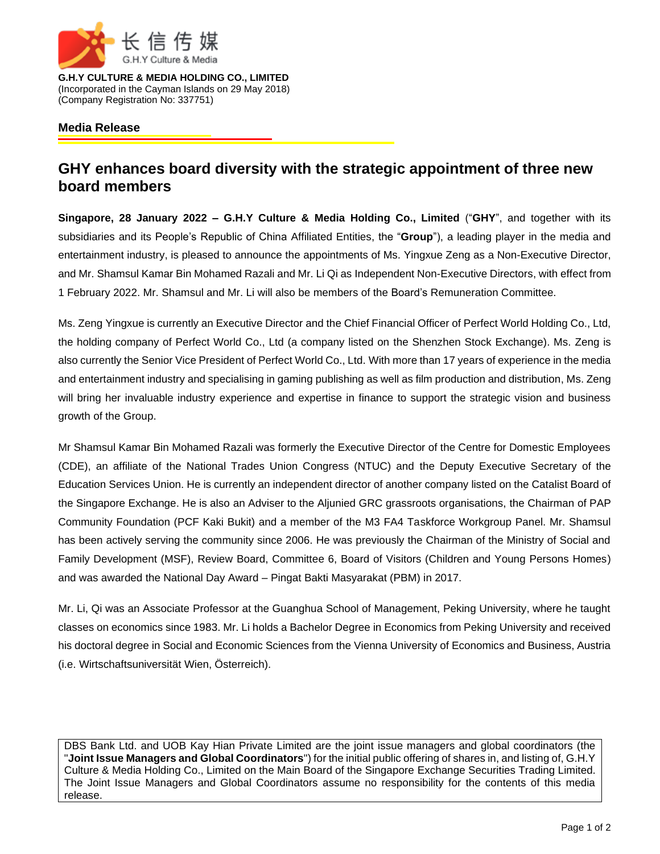

**G.H.Y CULTURE & MEDIA HOLDING CO., LIMITED** (Incorporated in the Cayman Islands on 29 May 2018) (Company Registration No: 337751)

## **Media Release**

## **GHY enhances board diversity with the strategic appointment of three new board members**

**Singapore, 28 January 2022 – G.H.Y Culture & Media Holding Co., Limited** ("**GHY**", and together with its subsidiaries and its People's Republic of China Affiliated Entities, the "**Group**"), a leading player in the media and entertainment industry, is pleased to announce the appointments of Ms. Yingxue Zeng as a Non-Executive Director, and Mr. Shamsul Kamar Bin Mohamed Razali and Mr. Li Qi as Independent Non-Executive Directors, with effect from 1 February 2022. Mr. Shamsul and Mr. Li will also be members of the Board's Remuneration Committee.

Ms. Zeng Yingxue is currently an Executive Director and the Chief Financial Officer of Perfect World Holding Co., Ltd, the holding company of Perfect World Co., Ltd (a company listed on the Shenzhen Stock Exchange). Ms. Zeng is also currently the Senior Vice President of Perfect World Co., Ltd. With more than 17 years of experience in the media and entertainment industry and specialising in gaming publishing as well as film production and distribution, Ms. Zeng will bring her invaluable industry experience and expertise in finance to support the strategic vision and business growth of the Group.

Mr Shamsul Kamar Bin Mohamed Razali was formerly the Executive Director of the Centre for Domestic Employees (CDE), an affiliate of the National Trades Union Congress (NTUC) and the Deputy Executive Secretary of the Education Services Union. He is currently an independent director of another company listed on the Catalist Board of the Singapore Exchange. He is also an Adviser to the Aljunied GRC grassroots organisations, the Chairman of PAP Community Foundation (PCF Kaki Bukit) and a member of the M3 FA4 Taskforce Workgroup Panel. Mr. Shamsul has been actively serving the community since 2006. He was previously the Chairman of the Ministry of Social and Family Development (MSF), Review Board, Committee 6, Board of Visitors (Children and Young Persons Homes) and was awarded the National Day Award – Pingat Bakti Masyarakat (PBM) in 2017.

Mr. Li, Qi was an Associate Professor at the Guanghua School of Management, Peking University, where he taught classes on economics since 1983. Mr. Li holds a Bachelor Degree in Economics from Peking University and received his doctoral degree in Social and Economic Sciences from the Vienna University of Economics and Business, Austria (i.e. Wirtschaftsuniversität Wien, Österreich).

DBS Bank Ltd. and UOB Kay Hian Private Limited are the joint issue managers and global coordinators (the "**Joint Issue Managers and Global Coordinators**") for the initial public offering of shares in, and listing of, G.H.Y Culture & Media Holding Co., Limited on the Main Board of the Singapore Exchange Securities Trading Limited. The Joint Issue Managers and Global Coordinators assume no responsibility for the contents of this media release.